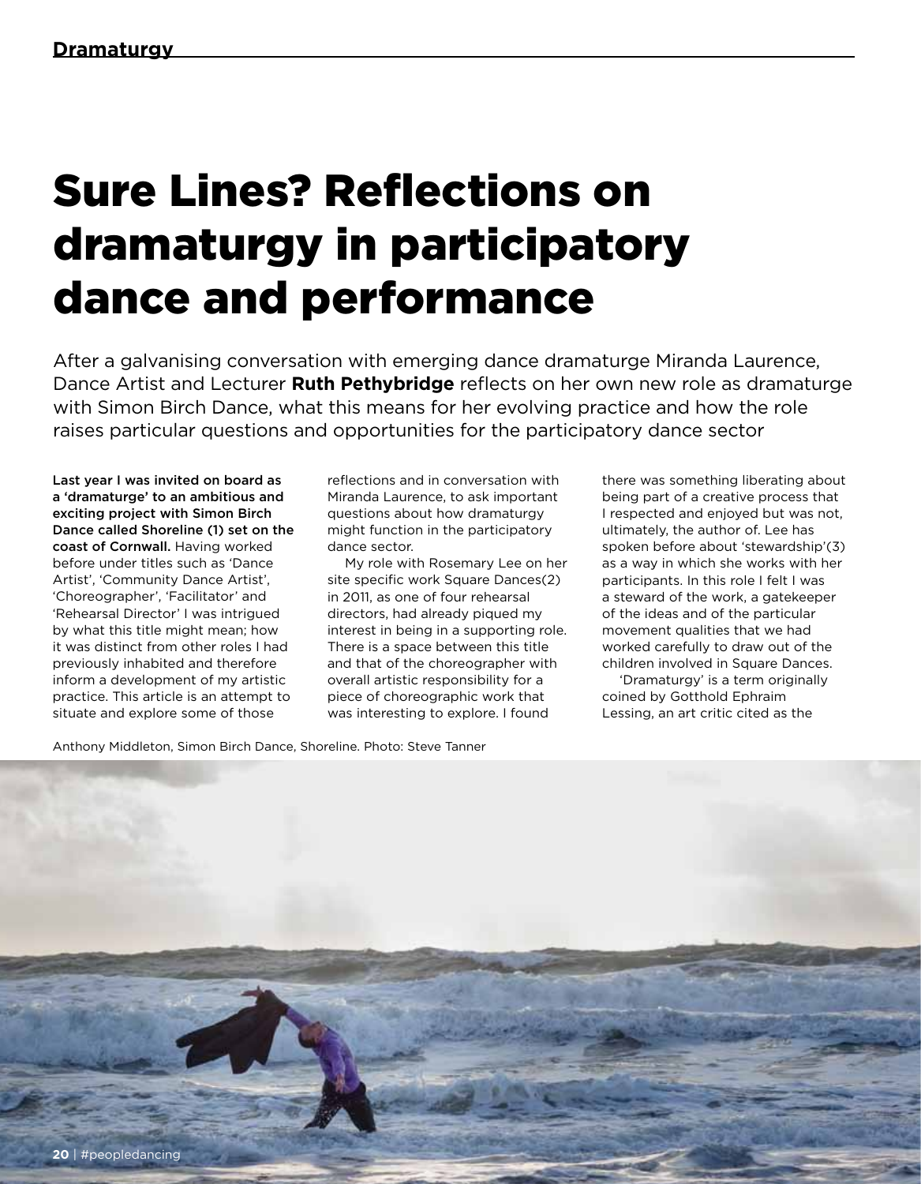## Sure Lines? Reflections on dramaturgy in participatory dance and performance

After a galvanising conversation with emerging dance dramaturge Miranda Laurence, Dance Artist and Lecturer **Ruth Pethybridge** reflects on her own new role as dramaturge with Simon Birch Dance, what this means for her evolving practice and how the role raises particular questions and opportunities for the participatory dance sector

Last year I was invited on board as a 'dramaturge' to an ambitious and exciting project with Simon Birch Dance called Shoreline (1) set on the coast of Cornwall. Having worked before under titles such as 'Dance Artist', 'Community Dance Artist', 'Choreographer', 'Facilitator' and 'Rehearsal Director' I was intrigued by what this title might mean; how it was distinct from other roles I had previously inhabited and therefore inform a development of my artistic practice. This article is an attempt to situate and explore some of those

reflections and in conversation with Miranda Laurence, to ask important questions about how dramaturgy might function in the participatory dance sector.

My role with Rosemary Lee on her site specific work Square Dances(2) in 2011, as one of four rehearsal directors, had already piqued my interest in being in a supporting role. There is a space between this title and that of the choreographer with overall artistic responsibility for a piece of choreographic work that was interesting to explore. I found

there was something liberating about being part of a creative process that I respected and enjoyed but was not, ultimately, the author of. Lee has spoken before about 'stewardship'(3) as a way in which she works with her participants. In this role I felt I was a steward of the work, a gatekeeper of the ideas and of the particular movement qualities that we had worked carefully to draw out of the children involved in Square Dances.

'Dramaturgy' is a term originally coined by Gotthold Ephraim Lessing, an art critic cited as the

Anthony Middleton, Simon Birch Dance, Shoreline. Photo: Steve Tanner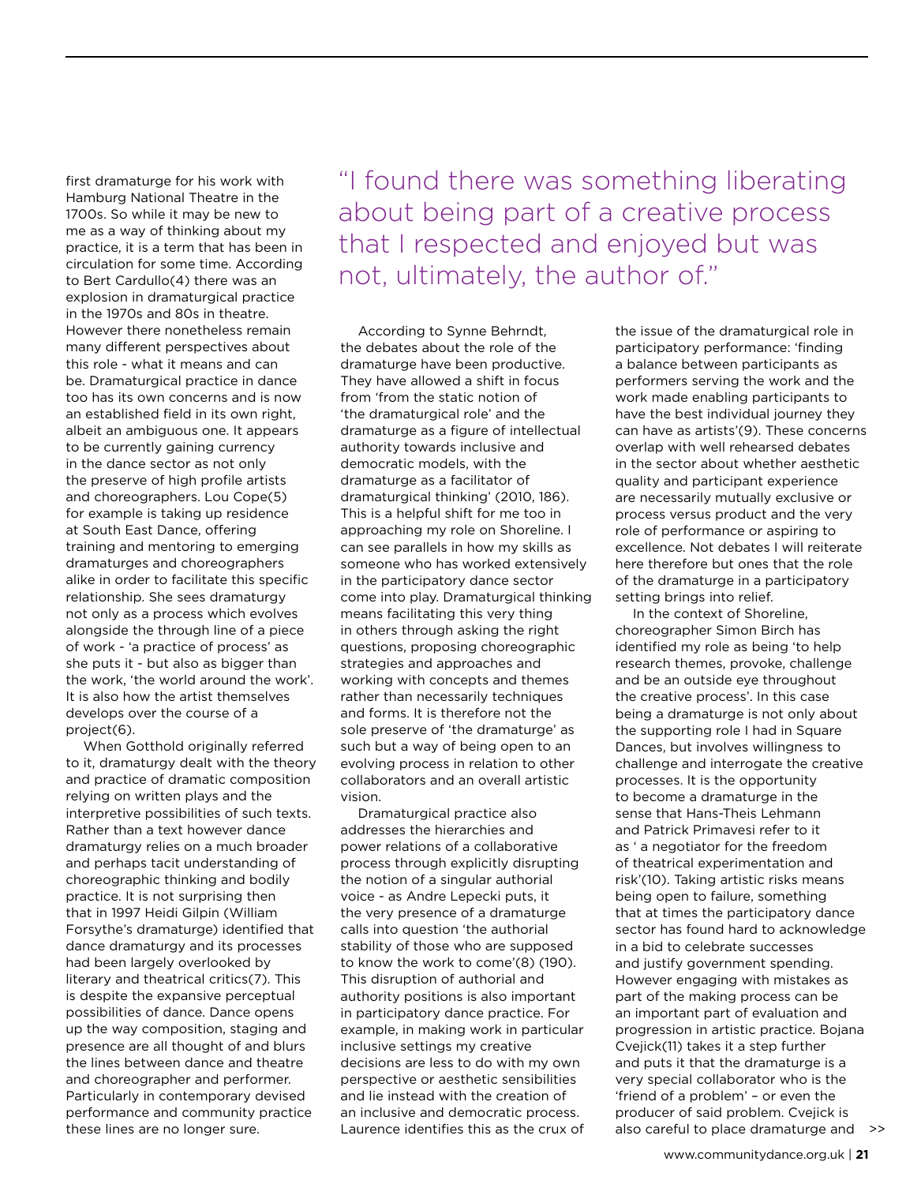first dramaturge for his work with Hamburg National Theatre in the 1700s. So while it may be new to me as a way of thinking about my practice, it is a term that has been in circulation for some time. According to Bert Cardullo(4) there was an explosion in dramaturgical practice in the 1970s and 80s in theatre. However there nonetheless remain many different perspectives about this role - what it means and can be. Dramaturgical practice in dance too has its own concerns and is now an established field in its own right, albeit an ambiguous one. It appears to be currently gaining currency in the dance sector as not only the preserve of high profile artists and choreographers. Lou Cope(5) for example is taking up residence at South East Dance, offering training and mentoring to emerging dramaturges and choreographers alike in order to facilitate this specific relationship. She sees dramaturgy not only as a process which evolves alongside the through line of a piece of work - 'a practice of process' as she puts it - but also as bigger than the work, 'the world around the work'. It is also how the artist themselves develops over the course of a project(6).

When Gotthold originally referred to it, dramaturgy dealt with the theory and practice of dramatic composition relying on written plays and the interpretive possibilities of such texts. Rather than a text however dance dramaturgy relies on a much broader and perhaps tacit understanding of choreographic thinking and bodily practice. It is not surprising then that in 1997 Heidi Gilpin (William Forsythe's dramaturge) identified that dance dramaturgy and its processes had been largely overlooked by literary and theatrical critics(7). This is despite the expansive perceptual possibilities of dance. Dance opens up the way composition, staging and presence are all thought of and blurs the lines between dance and theatre and choreographer and performer. Particularly in contemporary devised performance and community practice these lines are no longer sure.

"I found there was something liberating about being part of a creative process that I respected and enjoyed but was not, ultimately, the author of."

According to Synne Behrndt, the debates about the role of the dramaturge have been productive. They have allowed a shift in focus from 'from the static notion of 'the dramaturgical role' and the dramaturge as a figure of intellectual authority towards inclusive and democratic models, with the dramaturge as a facilitator of dramaturgical thinking' (2010, 186). This is a helpful shift for me too in approaching my role on Shoreline. I can see parallels in how my skills as someone who has worked extensively in the participatory dance sector come into play. Dramaturgical thinking means facilitating this very thing in others through asking the right questions, proposing choreographic strategies and approaches and working with concepts and themes rather than necessarily techniques and forms. It is therefore not the sole preserve of 'the dramaturge' as such but a way of being open to an evolving process in relation to other collaborators and an overall artistic vision.

Dramaturgical practice also addresses the hierarchies and power relations of a collaborative process through explicitly disrupting the notion of a singular authorial voice - as Andre Lepecki puts, it the very presence of a dramaturge calls into question 'the authorial stability of those who are supposed to know the work to come'(8) (190). This disruption of authorial and authority positions is also important in participatory dance practice. For example, in making work in particular inclusive settings my creative decisions are less to do with my own perspective or aesthetic sensibilities and lie instead with the creation of an inclusive and democratic process. Laurence identifies this as the crux of

the issue of the dramaturgical role in participatory performance: 'finding a balance between participants as performers serving the work and the work made enabling participants to have the best individual journey they can have as artists'(9). These concerns overlap with well rehearsed debates in the sector about whether aesthetic quality and participant experience are necessarily mutually exclusive or process versus product and the very role of performance or aspiring to excellence. Not debates I will reiterate here therefore but ones that the role of the dramaturge in a participatory setting brings into relief.

In the context of Shoreline, choreographer Simon Birch has identified my role as being 'to help research themes, provoke, challenge and be an outside eye throughout the creative process'. In this case being a dramaturge is not only about the supporting role I had in Square Dances, but involves willingness to challenge and interrogate the creative processes. It is the opportunity to become a dramaturge in the sense that Hans-Theis Lehmann and Patrick Primavesi refer to it as ' a negotiator for the freedom of theatrical experimentation and risk'(10). Taking artistic risks means being open to failure, something that at times the participatory dance sector has found hard to acknowledge in a bid to celebrate successes and justify government spending. However engaging with mistakes as part of the making process can be an important part of evaluation and progression in artistic practice. Bojana Cvejick(11) takes it a step further and puts it that the dramaturge is a very special collaborator who is the 'friend of a problem' – or even the producer of said problem. Cvejick is also careful to place dramaturge and >>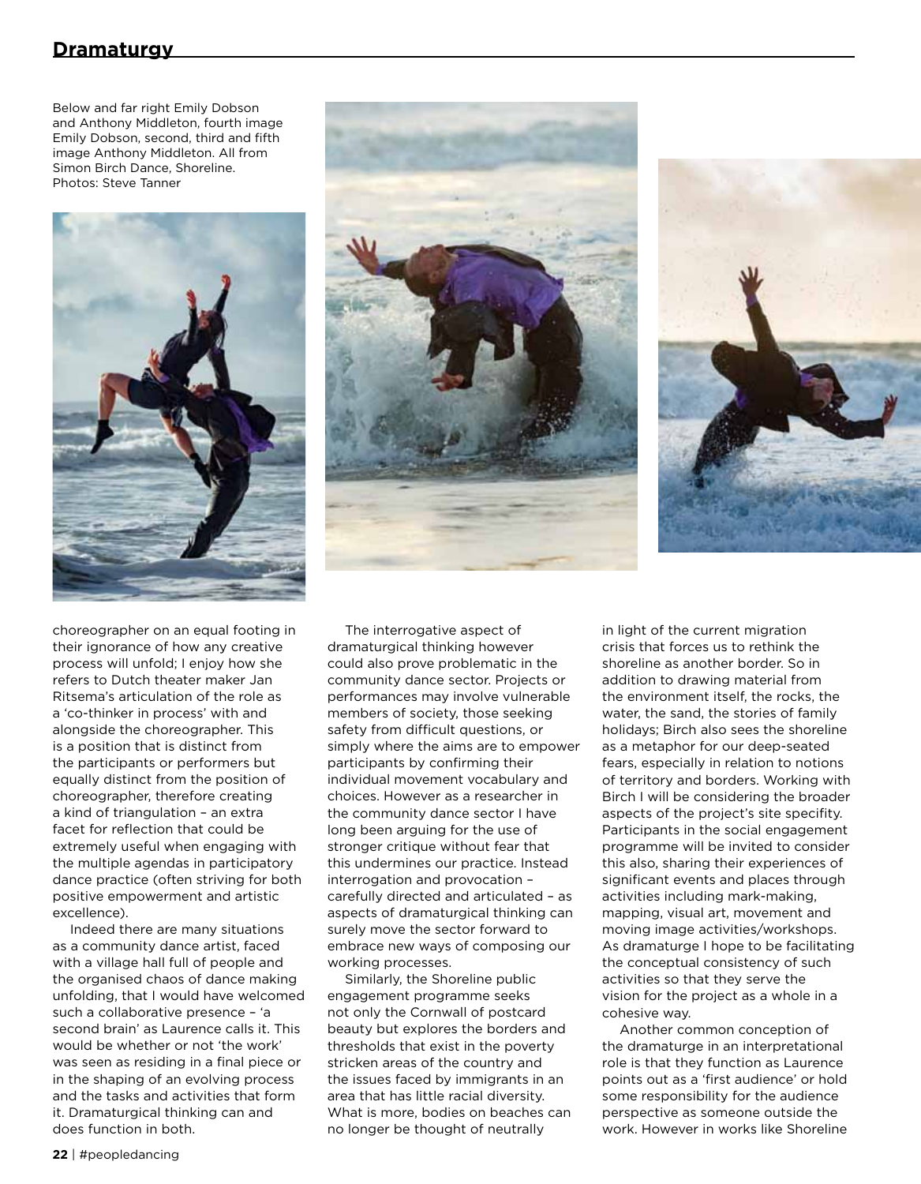## **Dramaturgy**

Below and far right Emily Dobson and Anthony Middleton, fourth image Emily Dobson, second, third and fifth image Anthony Middleton. All from Simon Birch Dance, Shoreline. Photos: Steve Tanner



choreographer on an equal footing in their ignorance of how any creative process will unfold; I enjoy how she refers to Dutch theater maker Jan Ritsema's articulation of the role as a 'co-thinker in process' with and alongside the choreographer. This is a position that is distinct from the participants or performers but equally distinct from the position of choreographer, therefore creating a kind of triangulation – an extra facet for reflection that could be extremely useful when engaging with the multiple agendas in participatory dance practice (often striving for both positive empowerment and artistic excellence).

Indeed there are many situations as a community dance artist, faced with a village hall full of people and the organised chaos of dance making unfolding, that I would have welcomed such a collaborative presence – 'a second brain' as Laurence calls it. This would be whether or not 'the work' was seen as residing in a final piece or in the shaping of an evolving process and the tasks and activities that form it. Dramaturgical thinking can and does function in both.





The interrogative aspect of dramaturgical thinking however could also prove problematic in the community dance sector. Projects or performances may involve vulnerable members of society, those seeking safety from difficult questions, or simply where the aims are to empower participants by confirming their individual movement vocabulary and choices. However as a researcher in the community dance sector I have long been arguing for the use of stronger critique without fear that this undermines our practice. Instead interrogation and provocation – carefully directed and articulated – as aspects of dramaturgical thinking can surely move the sector forward to embrace new ways of composing our working processes.

Similarly, the Shoreline public engagement programme seeks not only the Cornwall of postcard beauty but explores the borders and thresholds that exist in the poverty stricken areas of the country and the issues faced by immigrants in an area that has little racial diversity. What is more, bodies on beaches can no longer be thought of neutrally

in light of the current migration crisis that forces us to rethink the shoreline as another border. So in addition to drawing material from the environment itself, the rocks, the water, the sand, the stories of family holidays; Birch also sees the shoreline as a metaphor for our deep-seated fears, especially in relation to notions of territory and borders. Working with Birch I will be considering the broader aspects of the project's site specifity. Participants in the social engagement programme will be invited to consider this also, sharing their experiences of significant events and places through activities including mark-making, mapping, visual art, movement and moving image activities/workshops. As dramaturge I hope to be facilitating the conceptual consistency of such activities so that they serve the vision for the project as a whole in a cohesive way.

Another common conception of the dramaturge in an interpretational role is that they function as Laurence points out as a 'first audience' or hold some responsibility for the audience perspective as someone outside the work. However in works like Shoreline